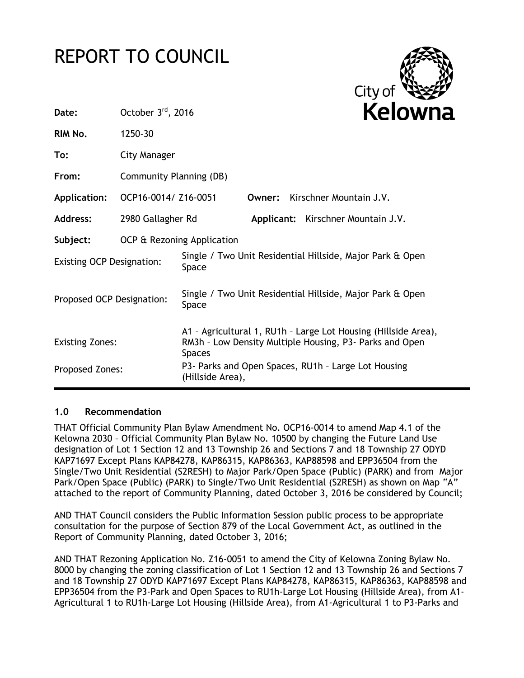# REPORT TO COUNCIL



| Date:                            | October 3rd, 2016          |                                                                                                                                            |        |  | Kelowna                            |
|----------------------------------|----------------------------|--------------------------------------------------------------------------------------------------------------------------------------------|--------|--|------------------------------------|
| RIM No.                          | 1250-30                    |                                                                                                                                            |        |  |                                    |
| To:                              | City Manager               |                                                                                                                                            |        |  |                                    |
| From:                            | Community Planning (DB)    |                                                                                                                                            |        |  |                                    |
| <b>Application:</b>              | OCP16-0014/ Z16-0051       |                                                                                                                                            | Owner: |  | Kirschner Mountain J.V.            |
| <b>Address:</b>                  | 2980 Gallagher Rd          |                                                                                                                                            |        |  | Applicant: Kirschner Mountain J.V. |
| Subject:                         | OCP & Rezoning Application |                                                                                                                                            |        |  |                                    |
| <b>Existing OCP Designation:</b> |                            | Single / Two Unit Residential Hillside, Major Park & Open<br>Space                                                                         |        |  |                                    |
| Proposed OCP Designation:        |                            | Single / Two Unit Residential Hillside, Major Park & Open<br>Space                                                                         |        |  |                                    |
| <b>Existing Zones:</b>           |                            | A1 - Agricultural 1, RU1h - Large Lot Housing (Hillside Area),<br>RM3h - Low Density Multiple Housing, P3- Parks and Open<br><b>Spaces</b> |        |  |                                    |
| Proposed Zones:                  |                            | P3- Parks and Open Spaces, RU1h - Large Lot Housing<br>(Hillside Area),                                                                    |        |  |                                    |

#### **1.0 Recommendation**

THAT Official Community Plan Bylaw Amendment No. OCP16-0014 to amend Map 4.1 of the Kelowna 2030 – Official Community Plan Bylaw No. 10500 by changing the Future Land Use designation of Lot 1 Section 12 and 13 Township 26 and Sections 7 and 18 Township 27 ODYD KAP71697 Except Plans KAP84278, KAP86315, KAP86363, KAP88598 and EPP36504 from the Single/Two Unit Residential (S2RESH) to Major Park/Open Space (Public) (PARK) and from Major Park/Open Space (Public) (PARK) to Single/Two Unit Residential (S2RESH) as shown on Map "A" attached to the report of Community Planning, dated October 3, 2016 be considered by Council;

AND THAT Council considers the Public Information Session public process to be appropriate consultation for the purpose of Section 879 of the Local Government Act, as outlined in the Report of Community Planning, dated October 3, 2016;

AND THAT Rezoning Application No. Z16-0051 to amend the City of Kelowna Zoning Bylaw No. 8000 by changing the zoning classification of Lot 1 Section 12 and 13 Township 26 and Sections 7 and 18 Township 27 ODYD KAP71697 Except Plans KAP84278, KAP86315, KAP86363, KAP88598 and EPP36504 from the P3-Park and Open Spaces to RU1h-Large Lot Housing (Hillside Area), from A1- Agricultural 1 to RU1h-Large Lot Housing (Hillside Area), from A1-Agricultural 1 to P3-Parks and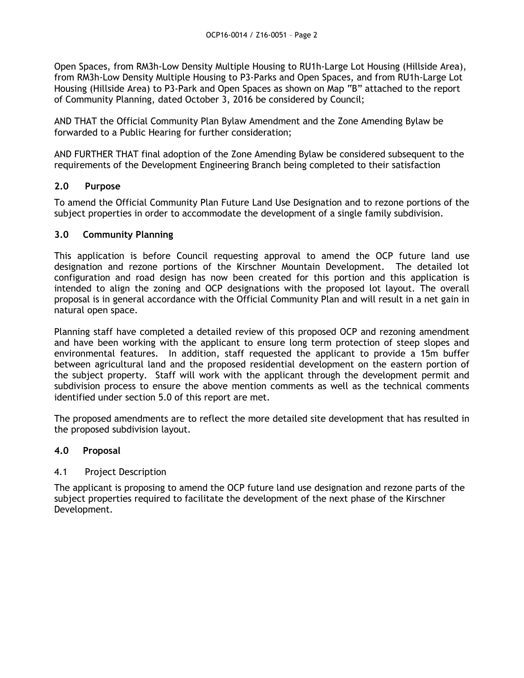Open Spaces, from RM3h-Low Density Multiple Housing to RU1h-Large Lot Housing (Hillside Area), from RM3h-Low Density Multiple Housing to P3-Parks and Open Spaces, and from RU1h-Large Lot Housing (Hillside Area) to P3-Park and Open Spaces as shown on Map "B" attached to the report of Community Planning, dated October 3, 2016 be considered by Council;

AND THAT the Official Community Plan Bylaw Amendment and the Zone Amending Bylaw be forwarded to a Public Hearing for further consideration;

AND FURTHER THAT final adoption of the Zone Amending Bylaw be considered subsequent to the requirements of the Development Engineering Branch being completed to their satisfaction

# **2.0 Purpose**

To amend the Official Community Plan Future Land Use Designation and to rezone portions of the subject properties in order to accommodate the development of a single family subdivision.

# **3.0 Community Planning**

This application is before Council requesting approval to amend the OCP future land use designation and rezone portions of the Kirschner Mountain Development. The detailed lot configuration and road design has now been created for this portion and this application is intended to align the zoning and OCP designations with the proposed lot layout. The overall proposal is in general accordance with the Official Community Plan and will result in a net gain in natural open space.

Planning staff have completed a detailed review of this proposed OCP and rezoning amendment and have been working with the applicant to ensure long term protection of steep slopes and environmental features. In addition, staff requested the applicant to provide a 15m buffer between agricultural land and the proposed residential development on the eastern portion of the subject property. Staff will work with the applicant through the development permit and subdivision process to ensure the above mention comments as well as the technical comments identified under section 5.0 of this report are met.

The proposed amendments are to reflect the more detailed site development that has resulted in the proposed subdivision layout.

#### **4.0 Proposal**

#### 4.1 Project Description

The applicant is proposing to amend the OCP future land use designation and rezone parts of the subject properties required to facilitate the development of the next phase of the Kirschner Development.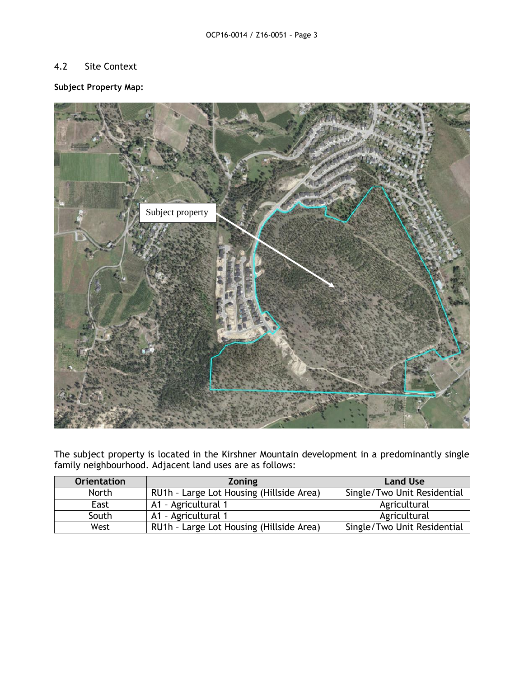# 4.2 Site Context

# **Subject Property Map:**



The subject property is located in the Kirshner Mountain development in a predominantly single family neighbourhood. Adjacent land uses are as follows:

| <b>Orientation</b> | <b>Zoning</b>                            | <b>Land Use</b>             |
|--------------------|------------------------------------------|-----------------------------|
| <b>North</b>       | RU1h - Large Lot Housing (Hillside Area) | Single/Two Unit Residential |
| East               | A1 - Agricultural 1                      | Agricultural                |
| South              | A1 - Agricultural 1                      | Agricultural                |
| West               | RU1h - Large Lot Housing (Hillside Area) | Single/Two Unit Residential |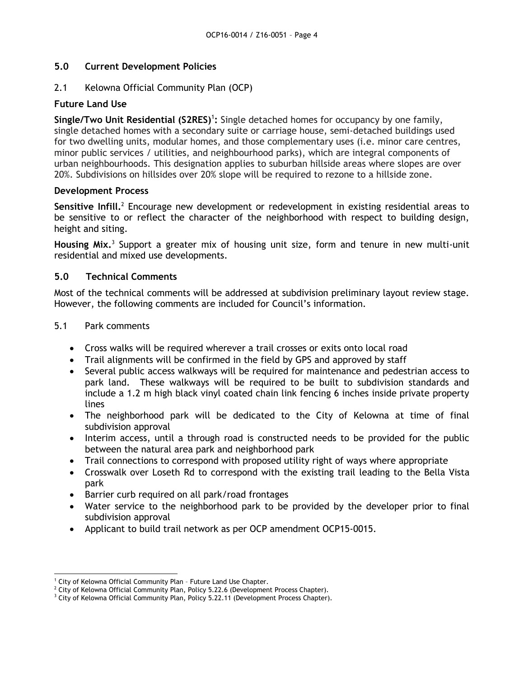# **5.0 Current Development Policies**

# 2.1 Kelowna Official Community Plan (OCP)

# **Future Land Use**

Single/Two Unit Residential (S2RES)<sup>1</sup>: Single detached homes for occupancy by one family, single detached homes with a secondary suite or carriage house, semi-detached buildings used for two dwelling units, modular homes, and those complementary uses (i.e. minor care centres, minor public services / utilities, and neighbourhood parks), which are integral components of urban neighbourhoods. This designation applies to suburban hillside areas where slopes are over 20%. Subdivisions on hillsides over 20% slope will be required to rezone to a hillside zone.

#### **Development Process**

Sensitive Infill.<sup>2</sup> Encourage new development or redevelopment in existing residential areas to be sensitive to or reflect the character of the neighborhood with respect to building design, height and siting.

Housing Mix.<sup>3</sup> Support a greater mix of housing unit size, form and tenure in new multi-unit residential and mixed use developments.

# **5.0 Technical Comments**

Most of the technical comments will be addressed at subdivision preliminary layout review stage. However, the following comments are included for Council's information.

#### 5.1 Park comments

- Cross walks will be required wherever a trail crosses or exits onto local road
- Trail alignments will be confirmed in the field by GPS and approved by staff
- Several public access walkways will be required for maintenance and pedestrian access to park land. These walkways will be required to be built to subdivision standards and include a 1.2 m high black vinyl coated chain link fencing 6 inches inside private property lines
- The neighborhood park will be dedicated to the City of Kelowna at time of final subdivision approval
- Interim access, until a through road is constructed needs to be provided for the public between the natural area park and neighborhood park
- Trail connections to correspond with proposed utility right of ways where appropriate
- Crosswalk over Loseth Rd to correspond with the existing trail leading to the Bella Vista park
- Barrier curb required on all park/road frontages
- Water service to the neighborhood park to be provided by the developer prior to final subdivision approval
- Applicant to build trail network as per OCP amendment OCP15-0015.

<sup>-</sup><sup>1</sup> City of Kelowna Official Community Plan - Future Land Use Chapter.

<sup>&</sup>lt;sup>2</sup> City of Kelowna Official Community Plan, Policy 5.22.6 (Development Process Chapter).

<sup>&</sup>lt;sup>3</sup> City of Kelowna Official Community Plan, Policy 5.22.11 (Development Process Chapter).